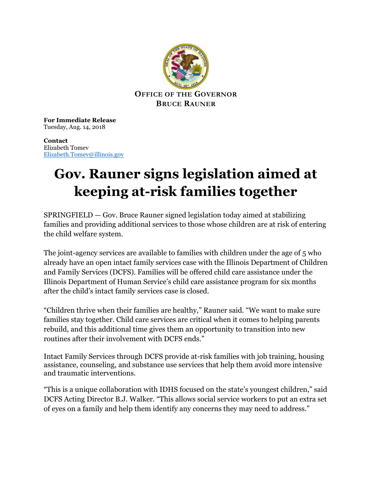

**For Immediate Release** Tuesday, Aug. 14, 2018

**Contact** Elizabeth Tomev [Elizabeth.Tomev@illinois.gov](mailto:Elizabeth.Tomev@illinois.gov)

## **Gov. Rauner signs legislation aimed at keeping at-risk families together**

 $SPRINGFIELD - Gov.$  Bruce Rauner signed legislation today aimed at stabilizing families and providing additional services to those whose children are at risk of entering the child welfare system.

The joint-agency services are available to families with children under the age of 5 who already have an open intact family services case with the Illinois Department of Children and Family Services (DCFS). Families will be offered child care assistance under the Illinois Department of Human Service's child care assistance program for six months after the child's intact family services case is closed.

"Children thrive when their families are healthy," Rauner said. "We want to make sure families stay together. Child care services are critical when it comes to helping parents rebuild, and this additional time gives them an opportunity to transition into new routines after their involvement with DCFS ends."

Intact Family Services through DCFS provide at-risk families with job training, housing assistance, counseling, and substance use services that help them avoid more intensive and traumatic interventions.

"This is a unique collaboration with IDHS focused on the state's youngest children," said DCFS Acting Director B.J. Walker. "This allows social service workers to put an extra set of eyes on a family and help them identify any concerns they may need to address."